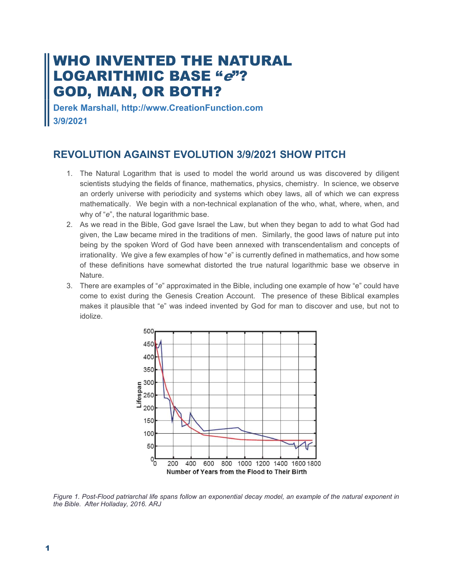# WHO INVENTED THE NATURAL LOGARITHMIC BASE "*e*"? GOD, MAN, OR BOTH?

Derek Marshall, http://www.CreationFunction.com 3/9/2021

# REVOLUTION AGAINST EVOLUTION 3/9/2021 SHOW PITCH

- 1. The Natural Logarithm that is used to model the world around us was discovered by diligent scientists studying the fields of finance, mathematics, physics, chemistry. In science, we observe an orderly universe with periodicity and systems which obey laws, all of which we can express mathematically. We begin with a non-technical explanation of the who, what, where, when, and why of "e", the natural logarithmic base.
- 2. As we read in the Bible, God gave Israel the Law, but when they began to add to what God had given, the Law became mired in the traditions of men. Similarly, the good laws of nature put into being by the spoken Word of God have been annexed with transcendentalism and concepts of irrationality. We give a few examples of how "e" is currently defined in mathematics, and how some of these definitions have somewhat distorted the true natural logarithmic base we observe in Nature.
- 3. There are examples of "e" approximated in the Bible, including one example of how "e" could have come to exist during the Genesis Creation Account. The presence of these Biblical examples makes it plausible that "e" was indeed invented by God for man to discover and use, but not to idolize.



Figure 1. Post-Flood patriarchal life spans follow an exponential decay model, an example of the natural exponent in the Bible. After Holladay, 2016. ARJ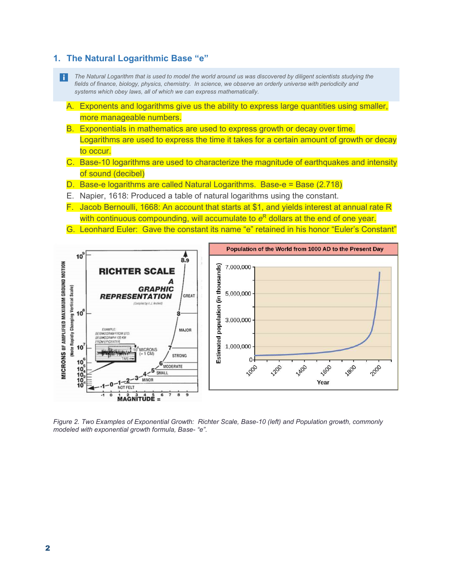#### 1. The Natural Logarithmic Base "e"

- n l The Natural Logarithm that is used to model the world around us was discovered by diligent scientists studying the fields of finance, biology, physics, chemistry. In science, we observe an orderly universe with periodicity and systems which obey laws, all of which we can express mathematically.
	- A. Exponents and logarithms give us the ability to express large quantities using smaller, more manageable numbers.
	- B. Exponentials in mathematics are used to express growth or decay over time. Logarithms are used to express the time it takes for a certain amount of growth or decay to occur.
	- C. Base-10 logarithms are used to characterize the magnitude of earthquakes and intensity of sound (decibel)
	- D. Base-e logarithms are called Natural Logarithms. Base-e = Base (2.718)
	- E. Napier, 1618: Produced a table of natural logarithms using the constant.
	- F. Jacob Bernoulli, 1668: An account that starts at \$1, and yields interest at annual rate R with continuous compounding, will accumulate to  $e^\mathsf{R}$  dollars at the end of one year.
	- G. Leonhard Euler: Gave the constant its name "e" retained in his honor "Euler's Constant"



Figure 2. Two Examples of Exponential Growth: Richter Scale, Base-10 (left) and Population growth, commonly modeled with exponential growth formula, Base- "e".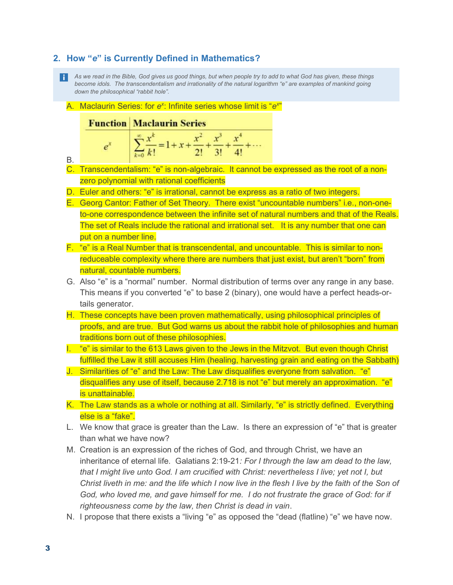## 2. How "e" is Currently Defined in Mathematics?

- As we read in the Bible, God gives us good things, but when people try to add to what God has given, these things become idols. The transcendentalism and irrationality of the natural logarithm "e" are examples of mankind going down the philosophical "rabbit hole".
	- A. Maclaurin Series: for e<sup>x</sup>: Infinite series whose limit is "e<sup>x"</sup>

#### **Function Maclaurin Series**

| е | 54.4<br>$-1$ and $-$        | $\mathbf{v}$ |  |
|---|-----------------------------|--------------|--|
|   | $k=0$ $\overline{k!}$ = 1 + |              |  |

- B.
- C. Transcendentalism: "e" is non-algebraic. It cannot be expressed as the root of a nonzero polynomial with rational coefficients
- D. Euler and others: "e" is irrational, cannot be express as a ratio of two integers.
- E. Georg Cantor: Father of Set Theory. There exist "uncountable numbers" i.e., non-oneto-one correspondence between the infinite set of natural numbers and that of the Reals. The set of Reals include the rational and irrational set. It is any number that one can put on a number line.
- F. "e" is a Real Number that is transcendental, and uncountable. This is similar to nonreduceable complexity where there are numbers that just exist, but aren't "born" from natural, countable numbers.
- G. Also "e" is a "normal" number. Normal distribution of terms over any range in any base. This means if you converted "e" to base 2 (binary), one would have a perfect heads-ortails generator.
- H. These concepts have been proven mathematically, using philosophical principles of proofs, and are true. But God warns us about the rabbit hole of philosophies and human traditions born out of these philosophies.
- I. "e" is similar to the 613 Laws given to the Jews in the Mitzvot. But even though Christ fulfilled the Law it still accuses Him (healing, harvesting grain and eating on the Sabbath)
- J. Similarities of "e" and the Law: The Law disqualifies everyone from salvation. "e" disqualifies any use of itself, because 2.718 is not "e" but merely an approximation. "e" is unattainable.
- K. The Law stands as a whole or nothing at all. Similarly, "e" is strictly defined. Everything else is a "fake".
- L. We know that grace is greater than the Law. Is there an expression of "e" that is greater than what we have now?
- M. Creation is an expression of the riches of God, and through Christ, we have an inheritance of eternal life. Galatians 2:19-21: For I through the law am dead to the law, that I might live unto God. I am crucified with Christ: nevertheless I live; yet not I, but Christ liveth in me: and the life which I now live in the flesh I live by the faith of the Son of God, who loved me, and gave himself for me. I do not frustrate the grace of God: for if righteousness come by the law, then Christ is dead in vain.
- N. I propose that there exists a "living "e" as opposed the "dead (flatline) "e" we have now.